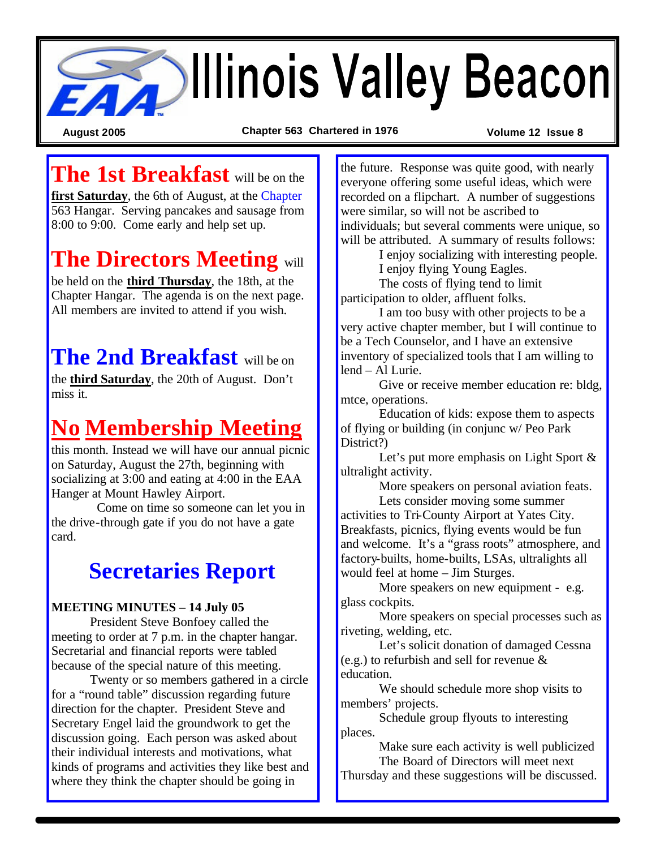

**August 2005 Chapter 563 Chartered in 1976 Volume 12 Issue 8**

# **The 1st Breakfast** will be on the

**first Saturday**, the 6th of August, at the Chapter 563 Hangar. Serving pancakes and sausage from 8:00 to 9:00. Come early and help set up.

# **The Directors Meeting** will

be held on the **third Thursday**, the 18th, at the Chapter Hangar. The agenda is on the next page. All members are invited to attend if you wish.

# **The 2nd Breakfast** will be on

the **third Saturday**, the 20th of August. Don't miss it.

# **No Membership Meeting**

this month. Instead we will have our annual picnic on Saturday, August the 27th, beginning with socializing at 3:00 and eating at 4:00 in the EAA Hanger at Mount Hawley Airport.

 Come on time so someone can let you in the drive-through gate if you do not have a gate card.

# **Secretaries Report**

#### **MEETING MINUTES – 14 July 05**

President Steve Bonfoey called the meeting to order at 7 p.m. in the chapter hangar. Secretarial and financial reports were tabled because of the special nature of this meeting.

Twenty or so members gathered in a circle for a "round table" discussion regarding future direction for the chapter. President Steve and Secretary Engel laid the groundwork to get the discussion going. Each person was asked about their individual interests and motivations, what kinds of programs and activities they like best and where they think the chapter should be going in

the future. Response was quite good, with nearly everyone offering some useful ideas, which were recorded on a flipchart. A number of suggestions were similar, so will not be ascribed to individuals; but several comments were unique, so will be attributed. A summary of results follows:

> I enjoy socializing with interesting people. I enjoy flying Young Eagles.

The costs of flying tend to limit participation to older, affluent folks.

I am too busy with other projects to be a very active chapter member, but I will continue to be a Tech Counselor, and I have an extensive inventory of specialized tools that I am willing to lend – Al Lurie.

Give or receive member education re: bldg, mtce, operations.

Education of kids: expose them to aspects of flying or building (in conjunc w/ Peo Park District?)

Let's put more emphasis on Light Sport & ultralight activity.

More speakers on personal aviation feats.

Lets consider moving some summer activities to Tri-County Airport at Yates City. Breakfasts, picnics, flying events would be fun and welcome. It's a "grass roots" atmosphere, and factory-builts, home-builts, LSAs, ultralights all would feel at home – Jim Sturges.

More speakers on new equipment - e.g. glass cockpits.

More speakers on special processes such as riveting, welding, etc.

Let's solicit donation of damaged Cessna (e.g.) to refurbish and sell for revenue & education.

We should schedule more shop visits to members' projects.

Schedule group flyouts to interesting places.

Make sure each activity is well publicized The Board of Directors will meet next

Thursday and these suggestions will be discussed.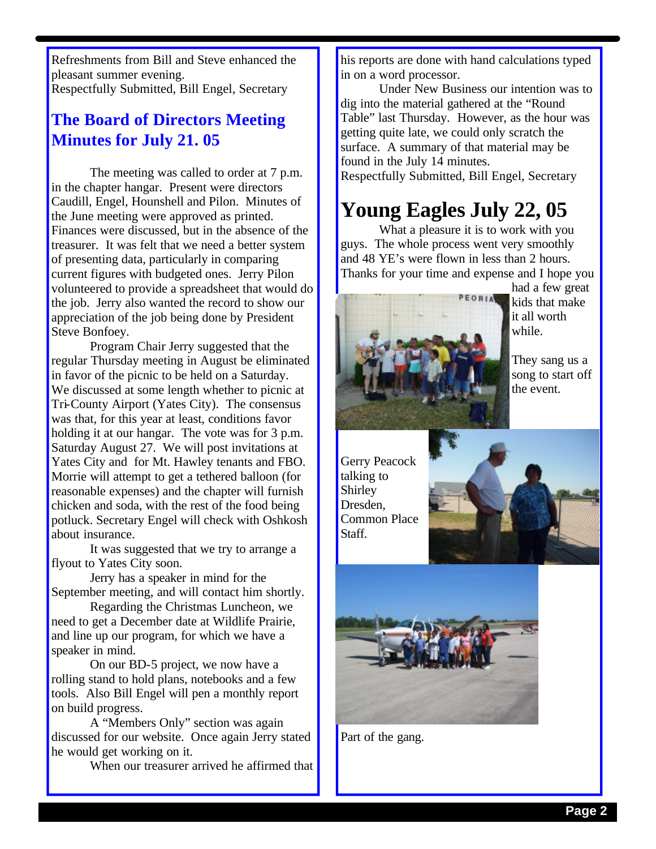Refreshments from Bill and Steve enhanced the pleasant summer evening. Respectfully Submitted, Bill Engel, Secretary

#### **The Board of Directors Meeting Minutes for July 21. 05**

The meeting was called to order at 7 p.m. in the chapter hangar. Present were directors Caudill, Engel, Hounshell and Pilon. Minutes of the June meeting were approved as printed. Finances were discussed, but in the absence of the treasurer. It was felt that we need a better system of presenting data, particularly in comparing current figures with budgeted ones. Jerry Pilon volunteered to provide a spreadsheet that would do the job. Jerry also wanted the record to show our appreciation of the job being done by President Steve Bonfoey.

Program Chair Jerry suggested that the regular Thursday meeting in August be eliminated in favor of the picnic to be held on a Saturday. We discussed at some length whether to picnic at Tri-County Airport (Yates City). The consensus was that, for this year at least, conditions favor holding it at our hangar. The vote was for 3 p.m. Saturday August 27. We will post invitations at Yates City and for Mt. Hawley tenants and FBO. Morrie will attempt to get a tethered balloon (for reasonable expenses) and the chapter will furnish chicken and soda, with the rest of the food being potluck. Secretary Engel will check with Oshkosh about insurance.

It was suggested that we try to arrange a flyout to Yates City soon.

Jerry has a speaker in mind for the September meeting, and will contact him shortly.

Regarding the Christmas Luncheon, we need to get a December date at Wildlife Prairie, and line up our program, for which we have a speaker in mind.

On our BD-5 project, we now have a rolling stand to hold plans, notebooks and a few tools. Also Bill Engel will pen a monthly report on build progress.

A "Members Only" section was again discussed for our website. Once again Jerry stated he would get working on it.

When our treasurer arrived he affirmed that

his reports are done with hand calculations typed in on a word processor.

Under New Business our intention was to dig into the material gathered at the "Round Table" last Thursday. However, as the hour was getting quite late, we could only scratch the surface. A summary of that material may be found in the July 14 minutes. Respectfully Submitted, Bill Engel, Secretary

### **Young Eagles July 22, 05**

What a pleasure it is to work with you guys. The whole process went very smoothly and 48 YE's were flown in less than 2 hours. Thanks for your time and expense and I hope you



had a few great kids that make it all worth while.

They sang us a song to start off the event.

Gerry Peacock talking to Shirley Dresden, Common Place Staff.





Part of the gang.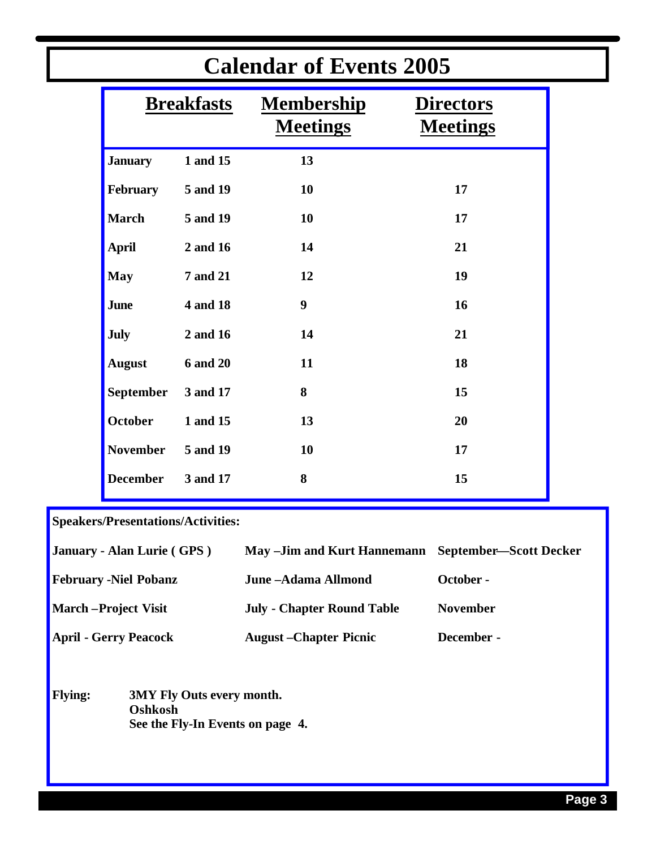| <b>Calendar of Events 2005</b> |                 |                                      |                                     |  |
|--------------------------------|-----------------|--------------------------------------|-------------------------------------|--|
| <b>Breakfasts</b>              |                 | <b>Membership</b><br><b>Meetings</b> | <b>Directors</b><br><b>Meetings</b> |  |
| <b>January</b>                 | 1 and 15        | 13                                   |                                     |  |
| February                       | 5 and 19        | 10                                   | 17                                  |  |
| <b>March</b>                   | 5 and 19        | 10                                   | 17                                  |  |
| <b>April</b>                   | 2 and 16        | 14                                   | 21                                  |  |
| <b>May</b>                     | <b>7 and 21</b> | 12                                   | 19                                  |  |
| <b>June</b>                    | 4 and 18        | $\boldsymbol{9}$                     | 16                                  |  |
| <b>July</b>                    | 2 and 16        | 14                                   | 21                                  |  |
| <b>August</b>                  | <b>6 and 20</b> | 11                                   | 18                                  |  |
| <b>September</b>               | 3 and 17        | 8                                    | 15                                  |  |
| <b>October</b>                 | 1 and 15        | 13                                   | 20                                  |  |
| <b>November</b>                | 5 and 19        | 10                                   | 17                                  |  |
| <b>December</b>                | 3 and 17        | 8                                    | 15                                  |  |
|                                |                 |                                      |                                     |  |

**Speakers/Presentations/Activities:**

| January - Alan Lurie (GPS)   | May -Jim and Kurt Hannemann September—Scott Decker |                 |
|------------------------------|----------------------------------------------------|-----------------|
| <b>February -Niel Pobanz</b> | June -Adama Allmond                                | October -       |
| <b>March</b> – Project Visit | <b>July - Chapter Round Table</b>                  | <b>November</b> |
| <b>April - Gerry Peacock</b> | <b>August</b> – Chapter Picnic                     | December -      |

<u> 1989 - Andrea Santa Andrea Santa Andrea Santa Andrea Santa Andrea Santa Andrea Santa Andrea Santa Andrea San</u>

**Flying: 3MY Fly Outs every month. Oshkosh See the Fly-In Events on page 4.**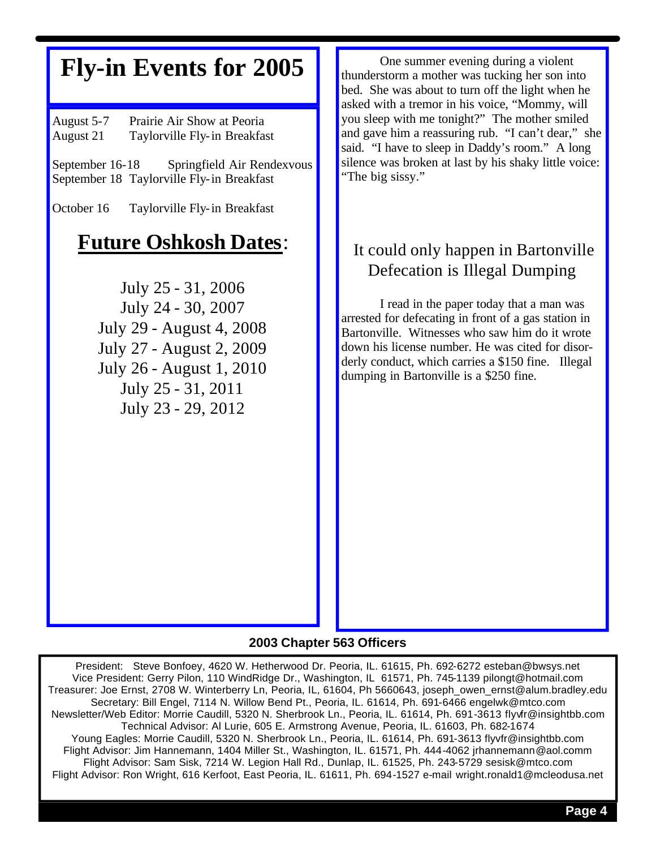# **Fly-in Events for 2005**

August 5-7 Prairie Air Show at Peoria August 21 Taylorville Fly-in Breakfast

September 16-18 Springfield Air Rendexvous September 18 Taylorville Fly-in Breakfast

October 16 Taylorville Fly-in Breakfast

### **Future Oshkosh Dates**:

July 25 - 31, 2006 July 24 - 30, 2007 July 29 - August 4, 2008 July 27 - August 2, 2009 July 26 - August 1, 2010 July 25 - 31, 2011 July 23 - 29, 2012

One summer evening during a violent thunderstorm a mother was tucking her son into bed. She was about to turn off the light when he asked with a tremor in his voice, "Mommy, will you sleep with me tonight?" The mother smiled and gave him a reassuring rub. "I can't dear," she said. "I have to sleep in Daddy's room." A long silence was broken at last by his shaky little voice: "The big sissy."

#### It could only happen in Bartonville Defecation is Illegal Dumping

I read in the paper today that a man was arrested for defecating in front of a gas station in Bartonville. Witnesses who saw him do it wrote down his license number. He was cited for disorderly conduct, which carries a \$150 fine. Illegal dumping in Bartonville is a \$250 fine.

#### **2003 Chapter 563 Officers**

President: Steve Bonfoey, 4620 W. Hetherwood Dr. Peoria, IL. 61615, Ph. 692-6272 esteban@bwsys.net Vice President: Gerry Pilon, 110 WindRidge Dr., Washington, IL 61571, Ph. 745-1139 pilongt@hotmail.com Treasurer: Joe Ernst, 2708 W. Winterberry Ln, Peoria, IL, 61604, Ph 5660643, joseph\_owen\_ernst@alum.bradley.edu Secretary: Bill Engel, 7114 N. Willow Bend Pt., Peoria, IL. 61614, Ph. 691-6466 engelwk@mtco.com Newsletter/Web Editor: Morrie Caudill, 5320 N. Sherbrook Ln., Peoria, IL. 61614, Ph. 691-3613 flyvfr@insightbb.com Technical Advisor: Al Lurie, 605 E. Armstrong Avenue, Peoria, IL. 61603, Ph. 682-1674 Young Eagles: Morrie Caudill, 5320 N. Sherbrook Ln., Peoria, IL. 61614, Ph. 691-3613 flyvfr@insightbb.com Flight Advisor: Jim Hannemann, 1404 Miller St., Washington, IL. 61571, Ph. 444-4062 jrhannemann@aol.comm Flight Advisor: Sam Sisk, 7214 W. Legion Hall Rd., Dunlap, IL. 61525, Ph. 243-5729 sesisk@mtco.com Flight Advisor: Ron Wright, 616 Kerfoot, East Peoria, IL. 61611, Ph. 694-1527 e-mail wright.ronald1@mcleodusa.net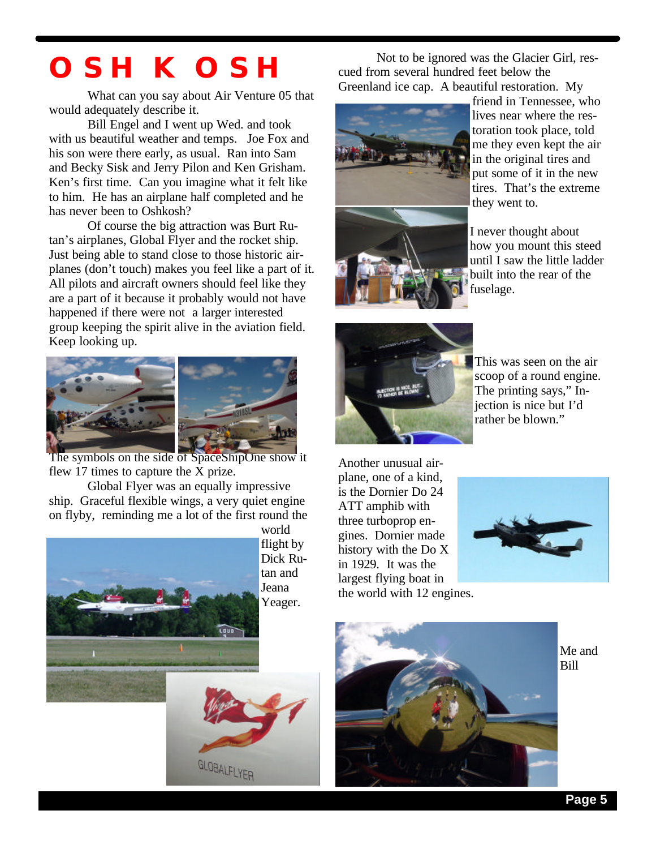# **OSHKOSH**

What can you say about Air Venture 05 that would adequately describe it.

Bill Engel and I went up Wed. and took with us beautiful weather and temps. Joe Fox and his son were there early, as usual. Ran into Sam and Becky Sisk and Jerry Pilon and Ken Grisham. Ken's first time. Can you imagine what it felt like to him. He has an airplane half completed and he has never been to Oshkosh?

Of course the big attraction was Burt Rutan's airplanes, Global Flyer and the rocket ship. Just being able to stand close to those historic airplanes (don't touch) makes you feel like a part of it. All pilots and aircraft owners should feel like they are a part of it because it probably would not have happened if there were not a larger interested group keeping the spirit alive in the aviation field. Keep looking up.



The symbols on the side of SpaceShipOne show it flew 17 times to capture the X prize.

Global Flyer was an equally impressive ship. Graceful flexible wings, a very quiet engine on flyby, reminding me a lot of the first round the



GLOBALFLYER

world flight by Dick Rutan and Jeana Yeager.

Not to be ignored was the Glacier Girl, rescued from several hundred feet below the Greenland ice cap. A beautiful restoration. My



friend in Tennessee, who lives near where the restoration took place, told me they even kept the air in the original tires and put some of it in the new tires. That's the extreme they went to.



I never thought about how you mount this steed until I saw the little ladder built into the rear of the fuselage.



This was seen on the air scoop of a round engine. The printing says," Injection is nice but I'd rather be blown."

Another unusual airplane, one of a kind, is the Dornier Do 24 ATT amphib with three turboprop engines. Dornier made history with the Do X in 1929. It was the largest flying boat in the world with 12 engines.





Me and Bill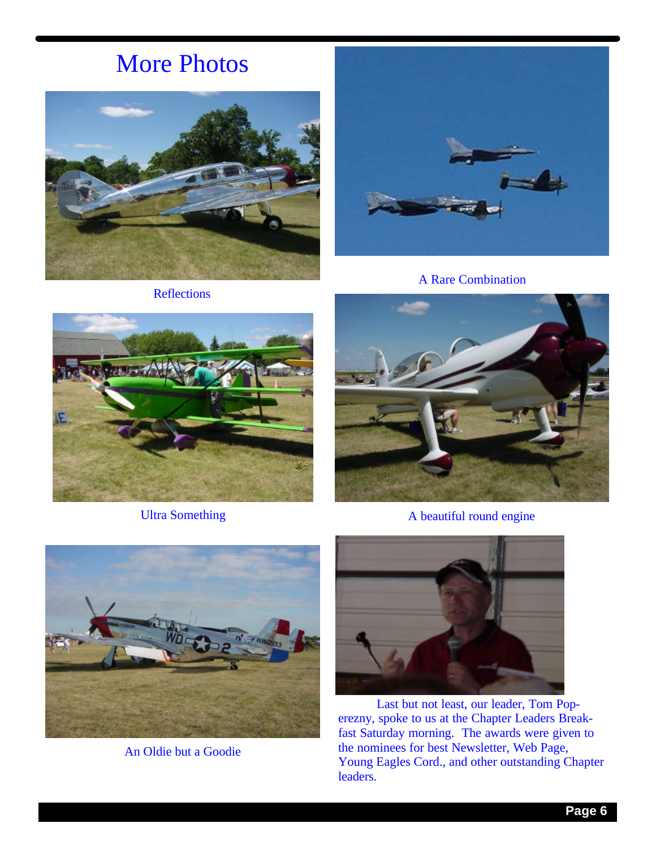# More Photos





A Rare Combination



Ultra Something



A beautiful round engine



An Oldie but a Goodie



Last but not least, our leader, Tom Poperezny, spoke to us at the Chapter Leaders Breakfast Saturday morning. The awards were given to the nominees for best Newsletter, Web Page, Young Eagles Cord., and other outstanding Chapter leaders.